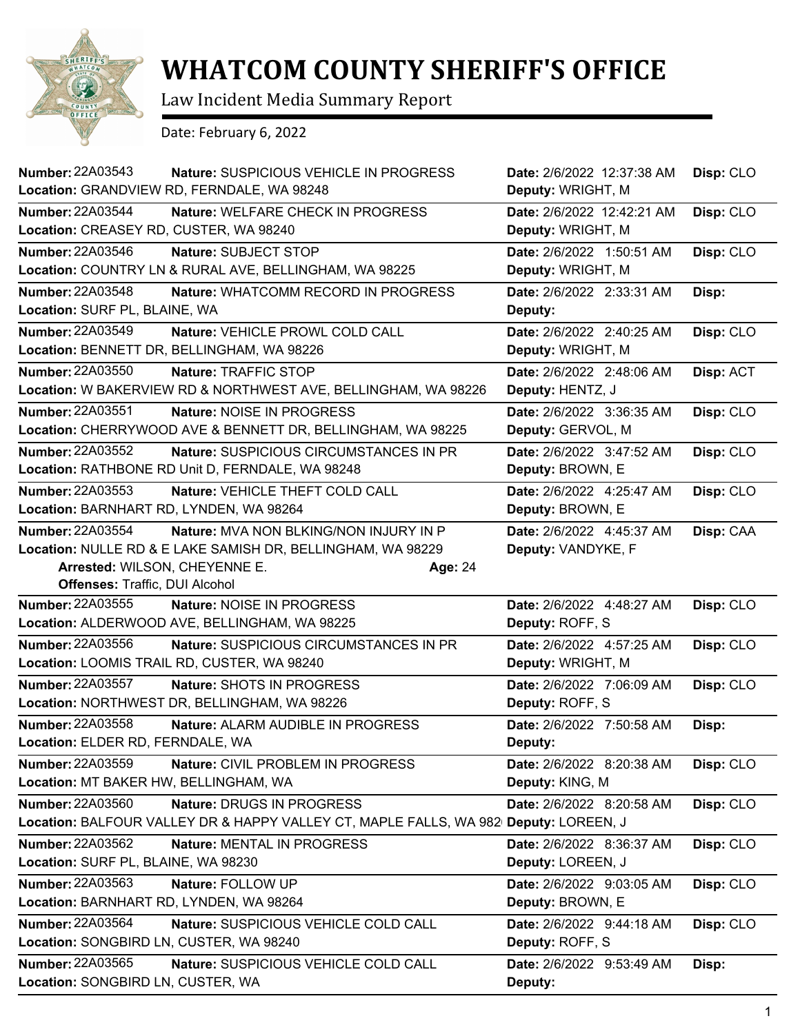

## **WHATCOM COUNTY SHERIFF'S OFFICE**

Law Incident Media Summary Report

Date: February 6, 2022

| <b>Number: 22A03543</b><br>Nature: SUSPICIOUS VEHICLE IN PROGRESS<br>Location: GRANDVIEW RD, FERNDALE, WA 98248                                                                                                       | Date: 2/6/2022 12:37:38 AM<br>Deputy: WRIGHT, M | Disp: CLO |
|-----------------------------------------------------------------------------------------------------------------------------------------------------------------------------------------------------------------------|-------------------------------------------------|-----------|
| <b>Number: 22A03544</b><br>Nature: WELFARE CHECK IN PROGRESS<br>Location: CREASEY RD, CUSTER, WA 98240                                                                                                                | Date: 2/6/2022 12:42:21 AM<br>Deputy: WRIGHT, M | Disp: CLO |
| <b>Number: 22A03546</b><br>Nature: SUBJECT STOP<br>Location: COUNTRY LN & RURAL AVE, BELLINGHAM, WA 98225                                                                                                             | Date: 2/6/2022 1:50:51 AM<br>Deputy: WRIGHT, M  | Disp: CLO |
| <b>Number: 22A03548</b><br>Nature: WHATCOMM RECORD IN PROGRESS<br>Location: SURF PL, BLAINE, WA                                                                                                                       | Date: 2/6/2022 2:33:31 AM<br>Deputy:            | Disp:     |
| Number: 22A03549<br>Nature: VEHICLE PROWL COLD CALL<br>Location: BENNETT DR, BELLINGHAM, WA 98226                                                                                                                     | Date: 2/6/2022 2:40:25 AM<br>Deputy: WRIGHT, M  | Disp: CLO |
| Number: 22A03550<br>Nature: TRAFFIC STOP<br>Location: W BAKERVIEW RD & NORTHWEST AVE, BELLINGHAM, WA 98226                                                                                                            | Date: 2/6/2022 2:48:06 AM<br>Deputy: HENTZ, J   | Disp: ACT |
| <b>Number: 22A03551</b><br>Nature: NOISE IN PROGRESS<br>Location: CHERRYWOOD AVE & BENNETT DR, BELLINGHAM, WA 98225                                                                                                   | Date: 2/6/2022 3:36:35 AM<br>Deputy: GERVOL, M  | Disp: CLO |
| <b>Number: 22A03552</b><br><b>Nature: SUSPICIOUS CIRCUMSTANCES IN PR</b><br>Location: RATHBONE RD Unit D, FERNDALE, WA 98248                                                                                          | Date: 2/6/2022 3:47:52 AM<br>Deputy: BROWN, E   | Disp: CLO |
| <b>Number: 22A03553</b><br><b>Nature: VEHICLE THEFT COLD CALL</b><br>Location: BARNHART RD, LYNDEN, WA 98264                                                                                                          | Date: 2/6/2022 4:25:47 AM<br>Deputy: BROWN, E   | Disp: CLO |
| <b>Number: 22A03554</b><br>Nature: MVA NON BLKING/NON INJURY IN P<br>Location: NULLE RD & E LAKE SAMISH DR, BELLINGHAM, WA 98229<br>Arrested: WILSON, CHEYENNE E.<br>Age: 24<br><b>Offenses: Traffic, DUI Alcohol</b> | Date: 2/6/2022 4:45:37 AM<br>Deputy: VANDYKE, F | Disp: CAA |
| Number: 22A03555<br>Nature: NOISE IN PROGRESS<br>Location: ALDERWOOD AVE, BELLINGHAM, WA 98225                                                                                                                        | Date: 2/6/2022 4:48:27 AM<br>Deputy: ROFF, S    | Disp: CLO |
| <b>Number: 22A03556</b><br>Nature: SUSPICIOUS CIRCUMSTANCES IN PR<br>Location: LOOMIS TRAIL RD, CUSTER, WA 98240                                                                                                      | Date: 2/6/2022 4:57:25 AM<br>Deputy: WRIGHT, M  | Disp: CLO |
| Number: 22A03557<br>Nature: SHOTS IN PROGRESS<br>Location: NORTHWEST DR, BELLINGHAM, WA 98226                                                                                                                         | Date: 2/6/2022 7:06:09 AM<br>Deputy: ROFF, S    | Disp: CLO |
| <b>Number: 22A03558</b><br>Nature: ALARM AUDIBLE IN PROGRESS<br><b>Location: ELDER RD, FERNDALE, WA</b>                                                                                                               | Date: 2/6/2022 7:50:58 AM<br>Deputy:            | Disp:     |
| <b>Number: 22A03559</b><br>Nature: CIVIL PROBLEM IN PROGRESS<br>Location: MT BAKER HW, BELLINGHAM, WA                                                                                                                 | Date: 2/6/2022 8:20:38 AM<br>Deputy: KING, M    | Disp: CLO |
| Number: 22A03560<br>Nature: DRUGS IN PROGRESS<br>Location: BALFOUR VALLEY DR & HAPPY VALLEY CT, MAPLE FALLS, WA 982 Deputy: LOREEN, J                                                                                 | Date: 2/6/2022 8:20:58 AM                       | Disp: CLO |
| Number: 22A03562<br><b>Nature: MENTAL IN PROGRESS</b><br>Location: SURF PL, BLAINE, WA 98230                                                                                                                          | Date: 2/6/2022 8:36:37 AM<br>Deputy: LOREEN, J  | Disp: CLO |
| Number: 22A03563<br>Nature: FOLLOW UP<br>Location: BARNHART RD, LYNDEN, WA 98264                                                                                                                                      | Date: 2/6/2022 9:03:05 AM<br>Deputy: BROWN, E   | Disp: CLO |
| Number: 22A03564<br>Nature: SUSPICIOUS VEHICLE COLD CALL<br>Location: SONGBIRD LN, CUSTER, WA 98240                                                                                                                   | Date: 2/6/2022 9:44:18 AM<br>Deputy: ROFF, S    | Disp: CLO |
| Number: 22A03565<br>Nature: SUSPICIOUS VEHICLE COLD CALL<br>Location: SONGBIRD LN, CUSTER, WA                                                                                                                         | Date: 2/6/2022 9:53:49 AM<br>Deputy:            | Disp:     |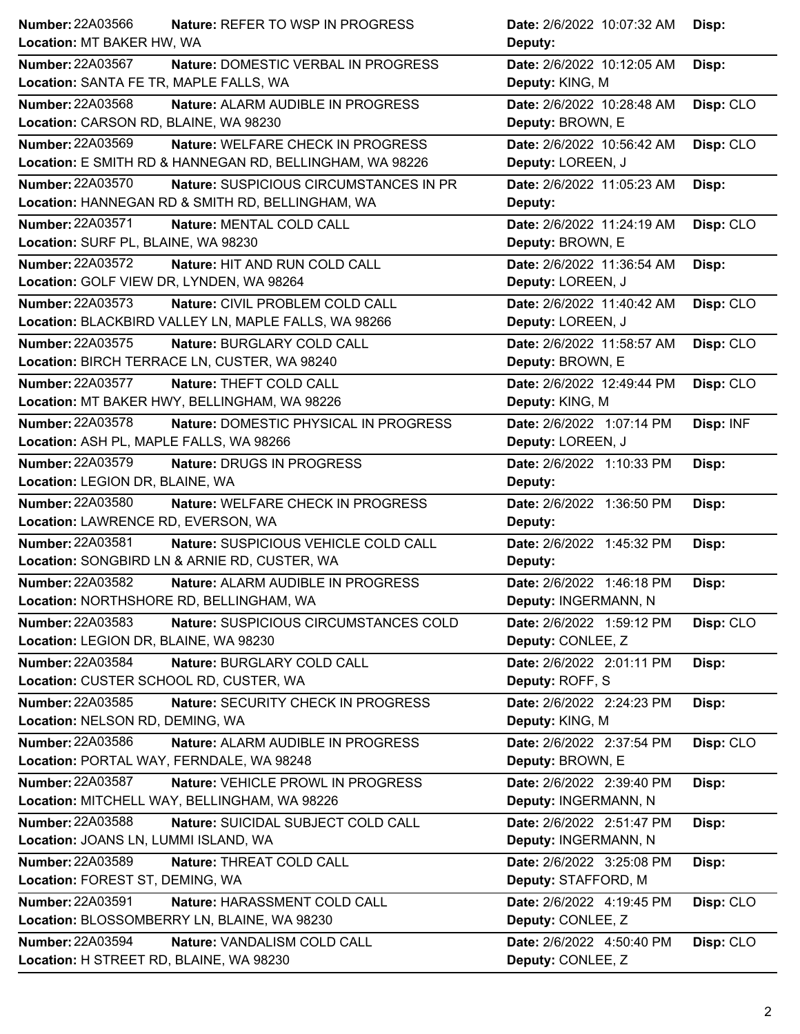| Number: 22A03566<br>Nature: REFER TO WSP IN PROGRESS              | Date: 2/6/2022 10:07:32 AM<br>Disp:     |  |
|-------------------------------------------------------------------|-----------------------------------------|--|
| Location: MT BAKER HW, WA                                         | Deputy:                                 |  |
| <b>Number: 22A03567</b><br>Nature: DOMESTIC VERBAL IN PROGRESS    | Date: 2/6/2022 10:12:05 AM<br>Disp:     |  |
| Location: SANTA FE TR, MAPLE FALLS, WA                            | Deputy: KING, M                         |  |
| <b>Number: 22A03568</b><br>Nature: ALARM AUDIBLE IN PROGRESS      | Date: 2/6/2022 10:28:48 AM<br>Disp: CLO |  |
| Location: CARSON RD, BLAINE, WA 98230                             | Deputy: BROWN, E                        |  |
| Number: 22A03569<br>Nature: WELFARE CHECK IN PROGRESS             | Date: 2/6/2022 10:56:42 AM<br>Disp: CLO |  |
| Location: E SMITH RD & HANNEGAN RD, BELLINGHAM, WA 98226          | Deputy: LOREEN, J                       |  |
| <b>Number: 22A03570</b><br>Nature: SUSPICIOUS CIRCUMSTANCES IN PR | Date: 2/6/2022 11:05:23 AM<br>Disp:     |  |
| Location: HANNEGAN RD & SMITH RD, BELLINGHAM, WA                  | Deputy:                                 |  |
| Number: 22A03571<br>Nature: MENTAL COLD CALL                      | Date: 2/6/2022 11:24:19 AM<br>Disp: CLO |  |
| Location: SURF PL, BLAINE, WA 98230                               | Deputy: BROWN, E                        |  |
| <b>Number: 22A03572</b><br>Nature: HIT AND RUN COLD CALL          | Date: 2/6/2022 11:36:54 AM<br>Disp:     |  |
| Location: GOLF VIEW DR, LYNDEN, WA 98264                          | Deputy: LOREEN, J                       |  |
| Number: 22A03573<br>Nature: CIVIL PROBLEM COLD CALL               | Date: 2/6/2022 11:40:42 AM<br>Disp: CLO |  |
| Location: BLACKBIRD VALLEY LN, MAPLE FALLS, WA 98266              | Deputy: LOREEN, J                       |  |
| <b>Number: 22A03575</b><br>Nature: BURGLARY COLD CALL             | Disp: CLO<br>Date: 2/6/2022 11:58:57 AM |  |
| Location: BIRCH TERRACE LN, CUSTER, WA 98240                      | Deputy: BROWN, E                        |  |
| Number: 22A03577<br>Nature: THEFT COLD CALL                       | Date: 2/6/2022 12:49:44 PM<br>Disp: CLO |  |
| Location: MT BAKER HWY, BELLINGHAM, WA 98226                      | Deputy: KING, M                         |  |
| <b>Number: 22A03578</b><br>Nature: DOMESTIC PHYSICAL IN PROGRESS  | Date: 2/6/2022 1:07:14 PM<br>Disp: INF  |  |
| Location: ASH PL, MAPLE FALLS, WA 98266                           | Deputy: LOREEN, J                       |  |
| Number: 22A03579<br>Nature: DRUGS IN PROGRESS                     | Date: 2/6/2022 1:10:33 PM<br>Disp:      |  |
| Location: LEGION DR, BLAINE, WA                                   | Deputy:                                 |  |
| <b>Number: 22A03580</b><br>Nature: WELFARE CHECK IN PROGRESS      | Date: 2/6/2022 1:36:50 PM<br>Disp:      |  |
|                                                                   |                                         |  |
| Location: LAWRENCE RD, EVERSON, WA                                | Deputy:                                 |  |
| Number: 22A03581<br>Nature: SUSPICIOUS VEHICLE COLD CALL          | Date: 2/6/2022 1:45:32 PM<br>Disp:      |  |
| Location: SONGBIRD LN & ARNIE RD, CUSTER, WA                      | Deputy:                                 |  |
| Number: 22A03582<br>Nature: ALARM AUDIBLE IN PROGRESS             | Date: 2/6/2022 1:46:18 PM<br>Disp:      |  |
| Location: NORTHSHORE RD, BELLINGHAM, WA                           | Deputy: INGERMANN, N                    |  |
| Number: 22A03583<br>Nature: SUSPICIOUS CIRCUMSTANCES COLD         | Date: 2/6/2022 1:59:12 PM<br>Disp: CLO  |  |
| Location: LEGION DR, BLAINE, WA 98230                             | Deputy: CONLEE, Z                       |  |
| Number: 22A03584<br>Nature: BURGLARY COLD CALL                    | Date: 2/6/2022 2:01:11 PM<br>Disp:      |  |
| Location: CUSTER SCHOOL RD, CUSTER, WA                            | Deputy: ROFF, S                         |  |
| Number: 22A03585<br>Nature: SECURITY CHECK IN PROGRESS            | Date: 2/6/2022 2:24:23 PM<br>Disp:      |  |
| Location: NELSON RD, DEMING, WA                                   | Deputy: KING, M                         |  |
| Number: 22A03586<br>Nature: ALARM AUDIBLE IN PROGRESS             | Date: 2/6/2022 2:37:54 PM<br>Disp: CLO  |  |
| Location: PORTAL WAY, FERNDALE, WA 98248                          | Deputy: BROWN, E                        |  |
| Number: 22A03587<br>Nature: VEHICLE PROWL IN PROGRESS             | Date: 2/6/2022 2:39:40 PM<br>Disp:      |  |
| Location: MITCHELL WAY, BELLINGHAM, WA 98226                      | Deputy: INGERMANN, N                    |  |
| Number: 22A03588<br>Nature: SUICIDAL SUBJECT COLD CALL            | Date: 2/6/2022 2:51:47 PM<br>Disp:      |  |
| Location: JOANS LN, LUMMI ISLAND, WA                              | Deputy: INGERMANN, N                    |  |
| <b>Number: 22A03589</b><br>Nature: THREAT COLD CALL               | Date: 2/6/2022 3:25:08 PM<br>Disp:      |  |
| Location: FOREST ST, DEMING, WA                                   | Deputy: STAFFORD, M                     |  |
| <b>Number: 22A03591</b><br>Nature: HARASSMENT COLD CALL           | Date: 2/6/2022 4:19:45 PM<br>Disp: CLO  |  |
| Location: BLOSSOMBERRY LN, BLAINE, WA 98230                       | Deputy: CONLEE, Z                       |  |
| Number: 22A03594<br>Nature: VANDALISM COLD CALL                   | Date: 2/6/2022 4:50:40 PM<br>Disp: CLO  |  |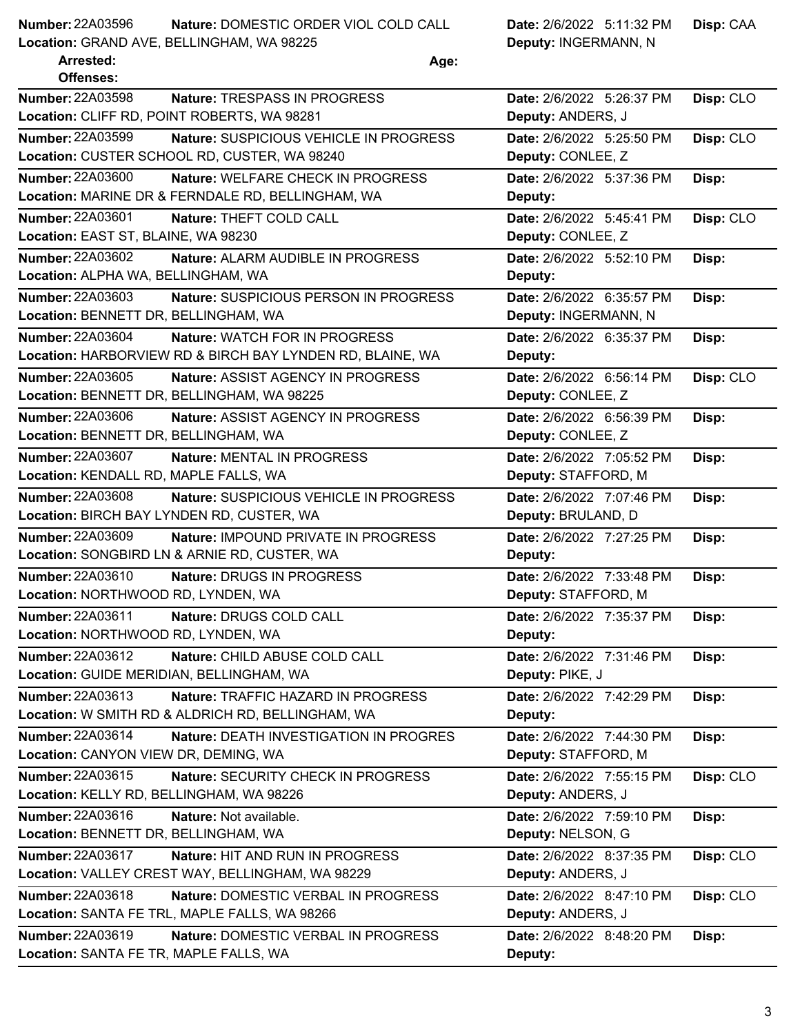## **Nature:** DOMESTIC ORDER VIOL COLD CALL **Date:** 2/6/2022 5:11:32 PM **Number: 22A03596**

**Location:** GRAND AVE, BELLINGHAM, WA 98225

**Deputy: INGER** 

**Disp:** CAA

|  | Deputy: INGERMANN, N |  |
|--|----------------------|--|
|--|----------------------|--|

| <b>Arrested:</b><br><b>Offenses:</b>     | Age:                                                      |                           |           |
|------------------------------------------|-----------------------------------------------------------|---------------------------|-----------|
| <b>Number: 22A03598</b>                  | Nature: TRESPASS IN PROGRESS                              | Date: 2/6/2022 5:26:37 PM | Disp: CLO |
|                                          | Location: CLIFF RD, POINT ROBERTS, WA 98281               | Deputy: ANDERS, J         |           |
| <b>Number: 22A03599</b>                  | Nature: SUSPICIOUS VEHICLE IN PROGRESS                    | Date: 2/6/2022 5:25:50 PM | Disp: CLO |
|                                          | Location: CUSTER SCHOOL RD, CUSTER, WA 98240              | Deputy: CONLEE, Z         |           |
| <b>Number: 22A03600</b>                  | Nature: WELFARE CHECK IN PROGRESS                         | Date: 2/6/2022 5:37:36 PM | Disp:     |
|                                          | Location: MARINE DR & FERNDALE RD, BELLINGHAM, WA         | Deputy:                   |           |
| Number: 22A03601                         | Nature: THEFT COLD CALL                                   | Date: 2/6/2022 5:45:41 PM | Disp: CLO |
| Location: EAST ST, BLAINE, WA 98230      |                                                           | Deputy: CONLEE, Z         |           |
| Number: 22A03602                         | Nature: ALARM AUDIBLE IN PROGRESS                         | Date: 2/6/2022 5:52:10 PM | Disp:     |
| Location: ALPHA WA, BELLINGHAM, WA       |                                                           | Deputy:                   |           |
| Number: 22A03603                         | Nature: SUSPICIOUS PERSON IN PROGRESS                     | Date: 2/6/2022 6:35:57 PM | Disp:     |
| Location: BENNETT DR, BELLINGHAM, WA     |                                                           | Deputy: INGERMANN, N      |           |
| <b>Number: 22A03604</b>                  | <b>Nature: WATCH FOR IN PROGRESS</b>                      | Date: 2/6/2022 6:35:37 PM | Disp:     |
|                                          | Location: HARBORVIEW RD & BIRCH BAY LYNDEN RD, BLAINE, WA | Deputy:                   |           |
| Number: 22A03605                         | Nature: ASSIST AGENCY IN PROGRESS                         | Date: 2/6/2022 6:56:14 PM | Disp: CLO |
|                                          | Location: BENNETT DR, BELLINGHAM, WA 98225                | Deputy: CONLEE, Z         |           |
| Number: 22A03606                         | Nature: ASSIST AGENCY IN PROGRESS                         | Date: 2/6/2022 6:56:39 PM | Disp:     |
| Location: BENNETT DR, BELLINGHAM, WA     |                                                           | Deputy: CONLEE, Z         |           |
| <b>Number: 22A03607</b>                  | Nature: MENTAL IN PROGRESS                                | Date: 2/6/2022 7:05:52 PM | Disp:     |
| Location: KENDALL RD, MAPLE FALLS, WA    |                                                           | Deputy: STAFFORD, M       |           |
| Number: 22A03608                         | Nature: SUSPICIOUS VEHICLE IN PROGRESS                    | Date: 2/6/2022 7:07:46 PM | Disp:     |
|                                          | Location: BIRCH BAY LYNDEN RD, CUSTER, WA                 | Deputy: BRULAND, D        |           |
| <b>Number: 22A03609</b>                  | Nature: IMPOUND PRIVATE IN PROGRESS                       | Date: 2/6/2022 7:27:25 PM | Disp:     |
|                                          | Location: SONGBIRD LN & ARNIE RD, CUSTER, WA              | Deputy:                   |           |
| Number: 22A03610                         | Nature: DRUGS IN PROGRESS                                 | Date: 2/6/2022 7:33:48 PM | Disp:     |
| Location: NORTHWOOD RD, LYNDEN, WA       |                                                           | Deputy: STAFFORD, M       |           |
| Number: 22A03611                         | Nature: DRUGS COLD CALL                                   | Date: 2/6/2022 7:35:37 PM | Disp:     |
| Location: NORTHWOOD RD, LYNDEN, WA       |                                                           | Deputy:                   |           |
| <b>Number: 22A03612</b>                  | Nature: CHILD ABUSE COLD CALL                             | Date: 2/6/2022 7:31:46 PM | Disp:     |
| Location: GUIDE MERIDIAN, BELLINGHAM, WA |                                                           | Deputy: PIKE, J           |           |
| Number: 22A03613                         | Nature: TRAFFIC HAZARD IN PROGRESS                        | Date: 2/6/2022 7:42:29 PM | Disp:     |
|                                          | Location: W SMITH RD & ALDRICH RD, BELLINGHAM, WA         | Deputy:                   |           |
| Number: 22A03614                         | Nature: DEATH INVESTIGATION IN PROGRES                    | Date: 2/6/2022 7:44:30 PM | Disp:     |
| Location: CANYON VIEW DR, DEMING, WA     |                                                           | Deputy: STAFFORD, M       |           |
| Number: 22A03615                         | Nature: SECURITY CHECK IN PROGRESS                        | Date: 2/6/2022 7:55:15 PM | Disp: CLO |
| Location: KELLY RD, BELLINGHAM, WA 98226 |                                                           | Deputy: ANDERS, J         |           |
| Number: 22A03616                         | Nature: Not available.                                    | Date: 2/6/2022 7:59:10 PM | Disp:     |
| Location: BENNETT DR, BELLINGHAM, WA     |                                                           | Deputy: NELSON, G         |           |
| Number: 22A03617                         | Nature: HIT AND RUN IN PROGRESS                           | Date: 2/6/2022 8:37:35 PM | Disp: CLO |
|                                          | Location: VALLEY CREST WAY, BELLINGHAM, WA 98229          | Deputy: ANDERS, J         |           |
| Number: 22A03618                         | Nature: DOMESTIC VERBAL IN PROGRESS                       | Date: 2/6/2022 8:47:10 PM | Disp: CLO |
|                                          | Location: SANTA FE TRL, MAPLE FALLS, WA 98266             | Deputy: ANDERS, J         |           |
| Number: 22A03619                         | Nature: DOMESTIC VERBAL IN PROGRESS                       | Date: 2/6/2022 8:48:20 PM | Disp:     |
| Location: SANTA FE TR, MAPLE FALLS, WA   |                                                           | Deputy:                   |           |